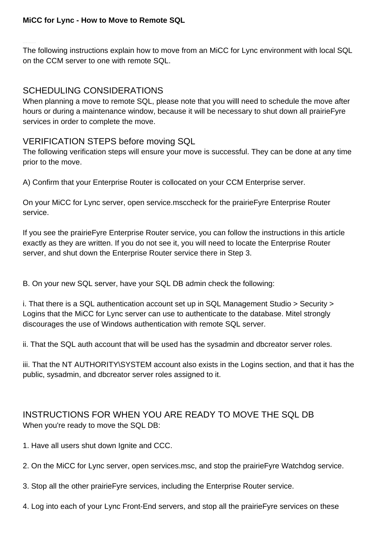The following instructions explain how to move from an MiCC for Lync environment with local SQL on the CCM server to one with remote SQL.

## SCHEDULING CONSIDERATIONS

When planning a move to remote SQL, please note that you willl need to schedule the move after hours or during a maintenance window, because it will be necessary to shut down all prairieFyre services in order to complete the move.

## VERIFICATION STEPS before moving SQL

The following verification steps will ensure your move is successful. They can be done at any time prior to the move.

A) Confirm that your Enterprise Router is collocated on your CCM Enterprise server.

On your MiCC for Lync server, open service.msccheck for the prairieFyre Enterprise Router service.

If you see the prairieFyre Enterprise Router service, you can follow the instructions in this article exactly as they are written. If you do not see it, you will need to locate the Enterprise Router server, and shut down the Enterprise Router service there in Step 3.

B. On your new SQL server, have your SQL DB admin check the following:

i. That there is a SQL authentication account set up in SQL Management Studio > Security > Logins that the MiCC for Lync server can use to authenticate to the database. Mitel strongly discourages the use of Windows authentication with remote SQL server.

ii. That the SQL auth account that will be used has the sysadmin and dbcreator server roles.

iii. That the NT AUTHORITY\SYSTEM account also exists in the Logins section, and that it has the public, sysadmin, and dbcreator server roles assigned to it.

## INSTRUCTIONS FOR WHEN YOU ARE READY TO MOVE THE SQL DB When you're ready to move the SQL DB:

- 1. Have all users shut down Ignite and CCC.
- 2. On the MiCC for Lync server, open services.msc, and stop the prairieFyre Watchdog service.
- 3. Stop all the other prairieFyre services, including the Enterprise Router service.
- 4. Log into each of your Lync Front-End servers, and stop all the prairieFyre services on these